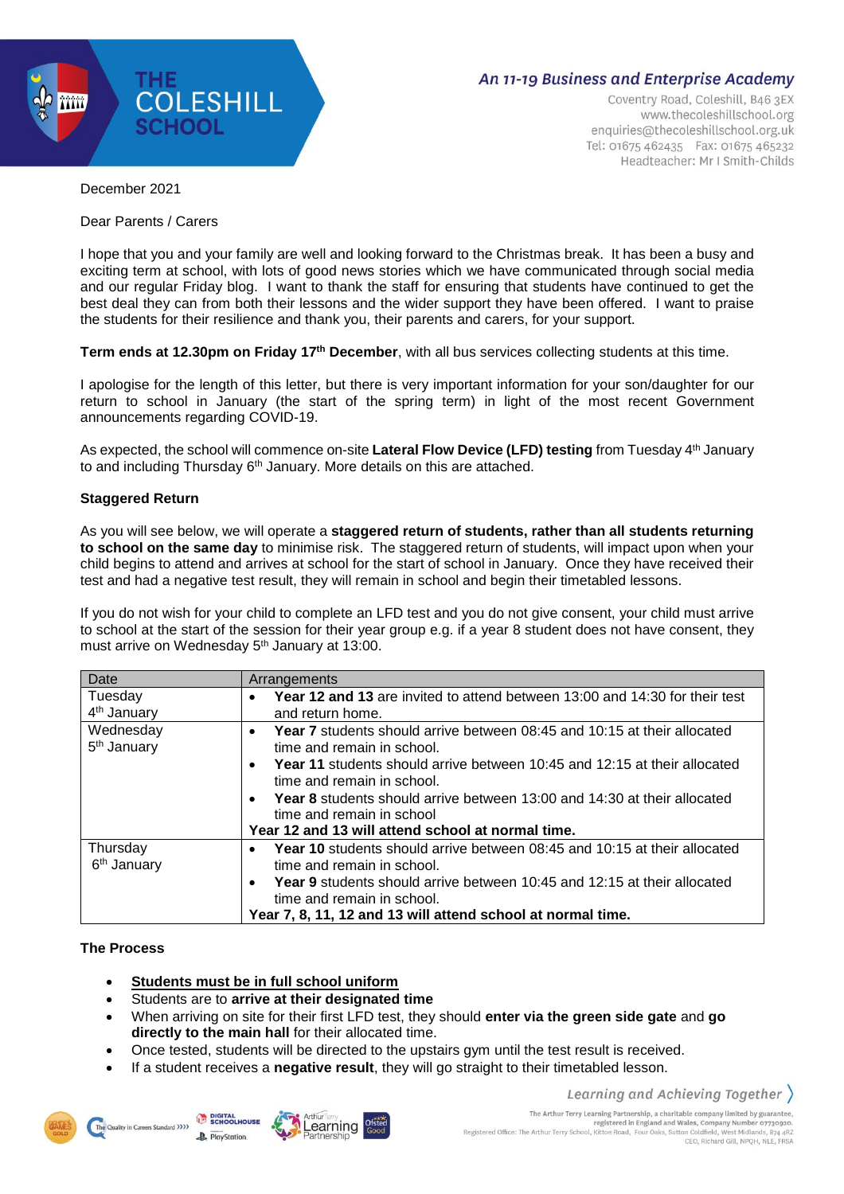

# An 11-19 Business and Enterprise Academy

Coventry Road, Coleshill, B46 3EX www.thecoleshillschool.org enquiries@thecoleshillschool.org.uk Tel: 01675 462435 Fax: 01675 465232 Headteacher: Mr I Smith-Childs

December 2021

Dear Parents / Carers

I hope that you and your family are well and looking forward to the Christmas break. It has been a busy and exciting term at school, with lots of good news stories which we have communicated through social media and our regular Friday blog. I want to thank the staff for ensuring that students have continued to get the best deal they can from both their lessons and the wider support they have been offered. I want to praise the students for their resilience and thank you, their parents and carers, for your support.

**Term ends at 12.30pm on Friday 17 th December**, with all bus services collecting students at this time.

I apologise for the length of this letter, but there is very important information for your son/daughter for our return to school in January (the start of the spring term) in light of the most recent Government announcements regarding COVID-19.

As expected, the school will commence on-site **Lateral Flow Device (LFD) testing** from Tuesday 4 th January to and including Thursday 6<sup>th</sup> January. More details on this are attached.

## **Staggered Return**

As you will see below, we will operate a **staggered return of students, rather than all students returning to school on the same day** to minimise risk. The staggered return of students, will impact upon when your child begins to attend and arrives at school for the start of school in January. Once they have received their test and had a negative test result, they will remain in school and begin their timetabled lessons.

If you do not wish for your child to complete an LFD test and you do not give consent, your child must arrive to school at the start of the session for their year group e.g. if a year 8 student does not have consent, they must arrive on Wednesday 5<sup>th</sup> January at 13:00.

| Date                                 | Arrangements                                                                                                                                                                                                                                                                                                                                                                                                      |  |  |
|--------------------------------------|-------------------------------------------------------------------------------------------------------------------------------------------------------------------------------------------------------------------------------------------------------------------------------------------------------------------------------------------------------------------------------------------------------------------|--|--|
| Tuesday<br>4 <sup>th</sup> January   | <b>Year 12 and 13</b> are invited to attend between 13:00 and 14:30 for their test<br>and return home.                                                                                                                                                                                                                                                                                                            |  |  |
| Wednesday<br>5 <sup>th</sup> January | <b>Year 7</b> students should arrive between 08:45 and 10:15 at their allocated<br>$\bullet$<br>time and remain in school.<br><b>Year 11</b> students should arrive between 10:45 and 12:15 at their allocated<br>time and remain in school.<br><b>Year 8</b> students should arrive between 13:00 and 14:30 at their allocated<br>time and remain in school<br>Year 12 and 13 will attend school at normal time. |  |  |
| Thursday                             | <b>Year 10</b> students should arrive between 08:45 and 10:15 at their allocated                                                                                                                                                                                                                                                                                                                                  |  |  |
| 6 <sup>th</sup> January              | time and remain in school.                                                                                                                                                                                                                                                                                                                                                                                        |  |  |
|                                      | <b>Year 9</b> students should arrive between 10:45 and 12:15 at their allocated<br>time and remain in school.<br>Year 7, 8, 11, 12 and 13 will attend school at normal time.                                                                                                                                                                                                                                      |  |  |

## **The Process**

- **Students must be in full school uniform**
- Students are to **arrive at their designated time**
- When arriving on site for their first LFD test, they should **enter via the green side gate** and **go directly to the main hall** for their allocated time.
- Once tested, students will be directed to the upstairs gym until the test result is received.
- If a student receives a **negative result**, they will go straight to their timetabled lesson.







Learning and Achieving Together